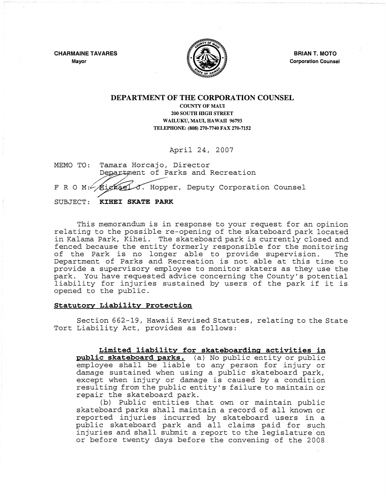**CHARMAINE TAVARES Mayor** 



**BRIAN T. MOTO Corporation Counsel** 

## **DEPARTMENT OF THE CORPORATION COUNSEL**

## COUNTY OF MAUL 200 SOUTH HIGH STREET WAILUKU, MAUI, HAWAII 96793 TELEPHONE: (808) 270-7740 FAX 270-7152

April 24, 2007

MEMO TO: Tamara Horcajo, Director Department of Parks and Recreation F R O M: Mighael J. Hopper, Deputy Corporation Counsel SUBJECT: **KIHEI SKATE PARK** 

This memorandum is in response to your request for an opinion relating to the possible re-opening of the skateboard park located in Kalama Park, Kihei. The skateboard park is currently closed and fenced because the entity formerly responsible for the monitoring<br>of the Park is no longer able to provide supervision. The of the Park is no longer able to provide supervision. The Department of Parks and Recreation is not able at this time to provide a supervisory employee to monitor skaters as they use the park. You have requested advice concerning the County's potential liability for injuries sustained by users of the park if it is opened to the public.

## **Statutory Liability Protection**

Section 662-19, Hawaii Revised Statutes, relating to the State Tort Liability Act, provides as follows:

**Limited liability for skateboarding activities in public skateboard parks.** (a) No public entity or public employee shall be liable to any person for injury or damage sustained when using a public skateboard park, except when injury or damage is caused by a condition resulting from the public entity's failure to maintain or repair the skateboard park.

(b) Public entities that own or maintain public skateboard parks shall maintain a record of all known or reported injuries incurred by skateboard users in a public skateboard park and all claims paid for such injuries and shall submit a report to the legislature'on or before twenty days before the convening of the 2008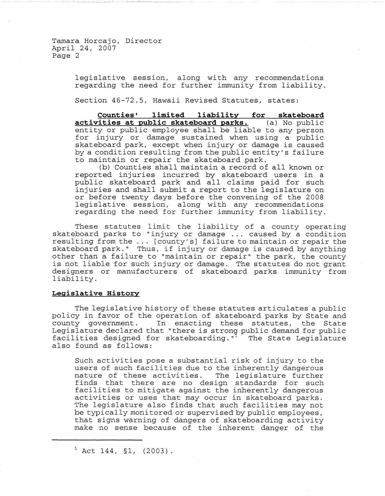Tamara Horcajo, Director April 24, 2007 Page 2

> legislative session, along with any recommendations regarding the need for further immunity from liability.

Section 46-72.5, Hawaii Revised Statutes, states:

**Counties' limited liability for skateboard activities at public skateboard parks.** (a) No public entity or public employee shall be liable to any person for injury or damage sustained when using a public skateboard park, except when injury or damage is caused by a condition resulting from the public entity's failure to maintain or repair the skateboard park.

(b) Counties shall maintain a record of all known or reported injuries incurred by skateboard users in a public skateboard park and all claims paid for such injuries and shall submit a report to the legislature on or before twenty days before the convening of the 2008 legislative session, along with any recommendations regarding the need for further immunity from liability.

These statutes limit the liability of a county operating skateboard parks to "injury or damage ... caused by a condition skateboard parks to injury of damage ... caused by a condition<br>resulting from the ... [county's] failure to maintain or repair the skateboard park." Thus, if injury or damage is caused by anything other than a failure to "maintain or repair" the park, the county is not liable for such injury or damage. The statutes do not grant designers or manufacturers of skateboard parks immunity from liability.

## **Legislative History**

The legislative history of these statutes articulates a public policy in favor of the operation of skateboard parks by State and county government. In enacting these statutes, the State councy government. In enacting these statutes, the state facilities designed for skateboarding." The State Legislature also found as follows:

Such activities pose a substantial risk of injury to the users of such facilities due to the inherently dangerous nature of these activities. The legislature further finds that there are no design standards for such facilities to mitigate against the inherently dangerous activities or uses that may occur in skateboard parks. The legislature also finds that such facilities may not be typically monitored or supervised by public employees, that signs warning of dangers of skateboarding activity make no sense because of the inherent danger of the

 $1$  Act 144, §1, (2003).